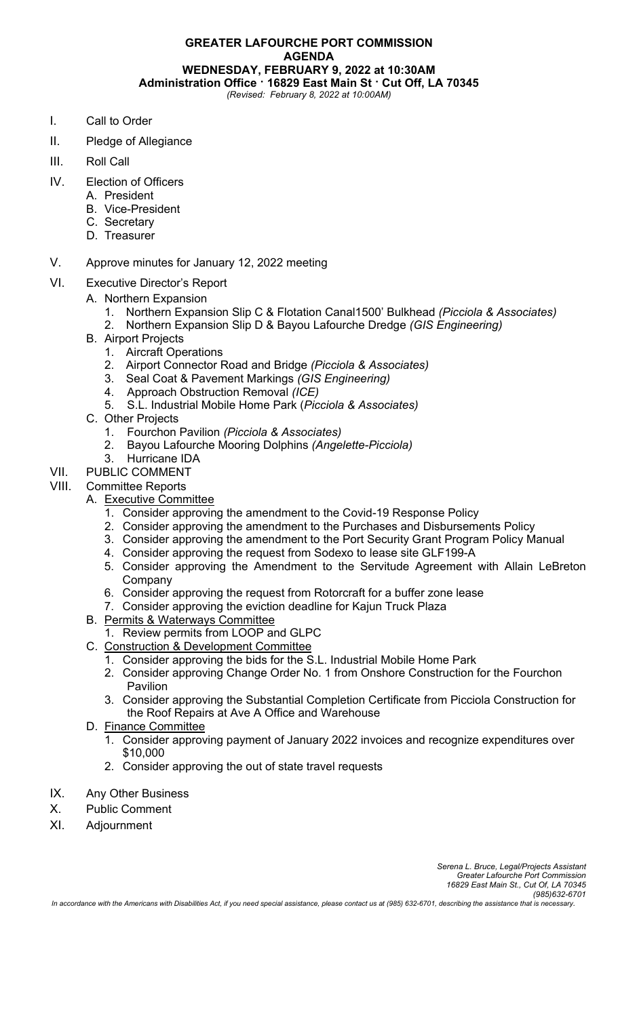**GREATER LAFOURCHE PORT COMMISSION AGENDA WEDNESDAY, FEBRUARY 9, 2022 at 10:30AM Administration Office · 16829 East Main St · Cut Off, LA 70345** *(Revised: February 8, 2022 at 10:00AM)*

- I. Call to Order
- II. Pledge of Allegiance
- III. Roll Call
- IV. Election of Officers
	- A. President
	- B. Vice-President
	- C. Secretary
	- D. Treasurer
- V. Approve minutes for January 12, 2022 meeting
- VI. Executive Director's Report
	- A. Northern Expansion
		- 1. Northern Expansion Slip C & Flotation Canal1500' Bulkhead *(Picciola & Associates)*
		- 2. Northern Expansion Slip D & Bayou Lafourche Dredge *(GIS Engineering)*
		- B. Airport Projects
			- 1. Aircraft Operations
			- 2. Airport Connector Road and Bridge *(Picciola & Associates)*
			- 3. Seal Coat & Pavement Markings *(GIS Engineering)*
			- 4. Approach Obstruction Removal *(ICE)*
			- 5. S.L. Industrial Mobile Home Park (*Picciola & Associates)*
		- C. Other Projects
			- 1. Fourchon Pavilion *(Picciola & Associates)*
			- 2. Bayou Lafourche Mooring Dolphins *(Angelette-Picciola)*
			- 3. Hurricane IDA
- VII. PUBLIC COMMENT

# VIII. Committee Reports

- A. Executive Committee
	- 1. Consider approving the amendment to the Covid-19 Response Policy
	- 2. Consider approving the amendment to the Purchases and Disbursements Policy
	- 3. Consider approving the amendment to the Port Security Grant Program Policy Manual
	- 4. Consider approving the request from Sodexo to lease site GLF199-A
	- 5. Consider approving the Amendment to the Servitude Agreement with Allain LeBreton Company
	- 6. Consider approving the request from Rotorcraft for a buffer zone lease
	- 7. Consider approving the eviction deadline for Kajun Truck Plaza
- B. Permits & Waterways Committee
	- 1. Review permits from LOOP and GLPC
- C. Construction & Development Committee
	- 1. Consider approving the bids for the S.L. Industrial Mobile Home Park
	- 2. Consider approving Change Order No. 1 from Onshore Construction for the Fourchon Pavilion
	- 3. Consider approving the Substantial Completion Certificate from Picciola Construction for the Roof Repairs at Ave A Office and Warehouse
- D. Finance Committee
	- 1. Consider approving payment of January 2022 invoices and recognize expenditures over \$10,000
	- 2. Consider approving the out of state travel requests
- IX. Any Other Business
- X. Public Comment
- XI. Adjournment

*In accordance with the Americans with Disabilities Act, if you need special assistance, please contact us at (985) 632-6701, describing the assistance that is necessary.*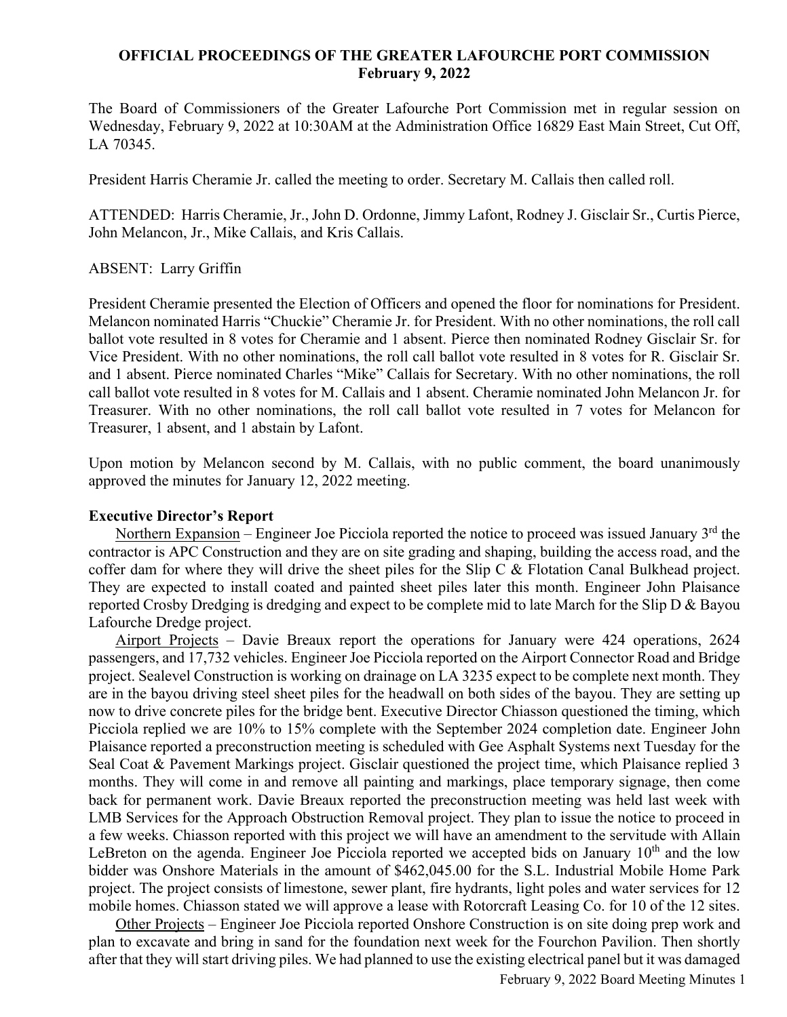# **OFFICIAL PROCEEDINGS OF THE GREATER LAFOURCHE PORT COMMISSION February 9, 2022**

The Board of Commissioners of the Greater Lafourche Port Commission met in regular session on Wednesday, February 9, 2022 at 10:30AM at the Administration Office 16829 East Main Street, Cut Off, LA 70345.

President Harris Cheramie Jr. called the meeting to order. Secretary M. Callais then called roll.

ATTENDED: Harris Cheramie, Jr., John D. Ordonne, Jimmy Lafont, Rodney J. Gisclair Sr., Curtis Pierce, John Melancon, Jr., Mike Callais, and Kris Callais.

### ABSENT: Larry Griffin

President Cheramie presented the Election of Officers and opened the floor for nominations for President. Melancon nominated Harris "Chuckie" Cheramie Jr. for President. With no other nominations, the roll call ballot vote resulted in 8 votes for Cheramie and 1 absent. Pierce then nominated Rodney Gisclair Sr. for Vice President. With no other nominations, the roll call ballot vote resulted in 8 votes for R. Gisclair Sr. and 1 absent. Pierce nominated Charles "Mike" Callais for Secretary. With no other nominations, the roll call ballot vote resulted in 8 votes for M. Callais and 1 absent. Cheramie nominated John Melancon Jr. for Treasurer. With no other nominations, the roll call ballot vote resulted in 7 votes for Melancon for Treasurer, 1 absent, and 1 abstain by Lafont.

Upon motion by Melancon second by M. Callais, with no public comment, the board unanimously approved the minutes for January 12, 2022 meeting.

## **Executive Director's Report**

Northern Expansion – Engineer Joe Picciola reported the notice to proceed was issued January  $3<sup>rd</sup>$  the contractor is APC Construction and they are on site grading and shaping, building the access road, and the coffer dam for where they will drive the sheet piles for the Slip C & Flotation Canal Bulkhead project. They are expected to install coated and painted sheet piles later this month. Engineer John Plaisance reported Crosby Dredging is dredging and expect to be complete mid to late March for the Slip D & Bayou Lafourche Dredge project.

 Airport Projects – Davie Breaux report the operations for January were 424 operations, 2624 passengers, and 17,732 vehicles. Engineer Joe Picciola reported on the Airport Connector Road and Bridge project. Sealevel Construction is working on drainage on LA 3235 expect to be complete next month. They are in the bayou driving steel sheet piles for the headwall on both sides of the bayou. They are setting up now to drive concrete piles for the bridge bent. Executive Director Chiasson questioned the timing, which Picciola replied we are 10% to 15% complete with the September 2024 completion date. Engineer John Plaisance reported a preconstruction meeting is scheduled with Gee Asphalt Systems next Tuesday for the Seal Coat & Pavement Markings project. Gisclair questioned the project time, which Plaisance replied 3 months. They will come in and remove all painting and markings, place temporary signage, then come back for permanent work. Davie Breaux reported the preconstruction meeting was held last week with LMB Services for the Approach Obstruction Removal project. They plan to issue the notice to proceed in a few weeks. Chiasson reported with this project we will have an amendment to the servitude with Allain LeBreton on the agenda. Engineer Joe Picciola reported we accepted bids on January  $10<sup>th</sup>$  and the low bidder was Onshore Materials in the amount of \$462,045.00 for the S.L. Industrial Mobile Home Park project. The project consists of limestone, sewer plant, fire hydrants, light poles and water services for 12 mobile homes. Chiasson stated we will approve a lease with Rotorcraft Leasing Co. for 10 of the 12 sites.

 Other Projects – Engineer Joe Picciola reported Onshore Construction is on site doing prep work and plan to excavate and bring in sand for the foundation next week for the Fourchon Pavilion. Then shortly after that they will start driving piles. We had planned to use the existing electrical panel but it was damaged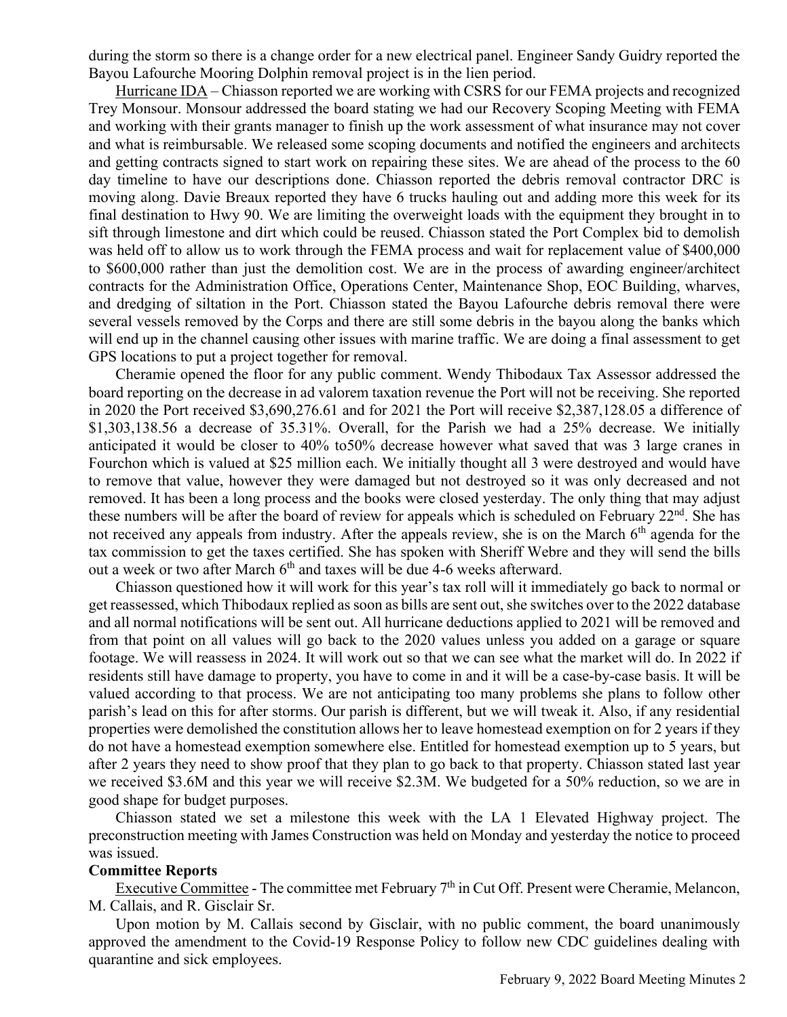during the storm so there is a change order for a new electrical panel. Engineer Sandy Guidry reported the Bayou Lafourche Mooring Dolphin removal project is in the lien period.

 Hurricane IDA – Chiasson reported we are working with CSRS for our FEMA projects and recognized Trey Monsour. Monsour addressed the board stating we had our Recovery Scoping Meeting with FEMA and working with their grants manager to finish up the work assessment of what insurance may not cover and what is reimbursable. We released some scoping documents and notified the engineers and architects and getting contracts signed to start work on repairing these sites. We are ahead of the process to the 60 day timeline to have our descriptions done. Chiasson reported the debris removal contractor DRC is moving along. Davie Breaux reported they have 6 trucks hauling out and adding more this week for its final destination to Hwy 90. We are limiting the overweight loads with the equipment they brought in to sift through limestone and dirt which could be reused. Chiasson stated the Port Complex bid to demolish was held off to allow us to work through the FEMA process and wait for replacement value of \$400,000 to \$600,000 rather than just the demolition cost. We are in the process of awarding engineer/architect contracts for the Administration Office, Operations Center, Maintenance Shop, EOC Building, wharves, and dredging of siltation in the Port. Chiasson stated the Bayou Lafourche debris removal there were several vessels removed by the Corps and there are still some debris in the bayou along the banks which will end up in the channel causing other issues with marine traffic. We are doing a final assessment to get GPS locations to put a project together for removal.

 Cheramie opened the floor for any public comment. Wendy Thibodaux Tax Assessor addressed the board reporting on the decrease in ad valorem taxation revenue the Port will not be receiving. She reported in 2020 the Port received \$3,690,276.61 and for 2021 the Port will receive \$2,387,128.05 a difference of \$1,303,138.56 a decrease of 35.31%. Overall, for the Parish we had a 25% decrease. We initially anticipated it would be closer to 40% to50% decrease however what saved that was 3 large cranes in Fourchon which is valued at \$25 million each. We initially thought all 3 were destroyed and would have to remove that value, however they were damaged but not destroyed so it was only decreased and not removed. It has been a long process and the books were closed yesterday. The only thing that may adjust these numbers will be after the board of review for appeals which is scheduled on February 22<sup>nd</sup>. She has not received any appeals from industry. After the appeals review, she is on the March  $6<sup>th</sup>$  agenda for the tax commission to get the taxes certified. She has spoken with Sheriff Webre and they will send the bills out a week or two after March  $6<sup>th</sup>$  and taxes will be due 4-6 weeks afterward.

 Chiasson questioned how it will work for this year's tax roll will it immediately go back to normal or get reassessed, which Thibodaux replied as soon as bills are sent out, she switches over to the 2022 database and all normal notifications will be sent out. All hurricane deductions applied to 2021 will be removed and from that point on all values will go back to the 2020 values unless you added on a garage or square footage. We will reassess in 2024. It will work out so that we can see what the market will do. In 2022 if residents still have damage to property, you have to come in and it will be a case-by-case basis. It will be valued according to that process. We are not anticipating too many problems she plans to follow other parish's lead on this for after storms. Our parish is different, but we will tweak it. Also, if any residential properties were demolished the constitution allows her to leave homestead exemption on for 2 years if they do not have a homestead exemption somewhere else. Entitled for homestead exemption up to 5 years, but after 2 years they need to show proof that they plan to go back to that property. Chiasson stated last year we received \$3.6M and this year we will receive \$2.3M. We budgeted for a 50% reduction, so we are in good shape for budget purposes.

 Chiasson stated we set a milestone this week with the LA 1 Elevated Highway project. The preconstruction meeting with James Construction was held on Monday and yesterday the notice to proceed was issued.

#### **Committee Reports**

Executive Committee - The committee met February 7<sup>th</sup> in Cut Off. Present were Cheramie, Melancon, M. Callais, and R. Gisclair Sr.

 Upon motion by M. Callais second by Gisclair, with no public comment, the board unanimously approved the amendment to the Covid-19 Response Policy to follow new CDC guidelines dealing with quarantine and sick employees.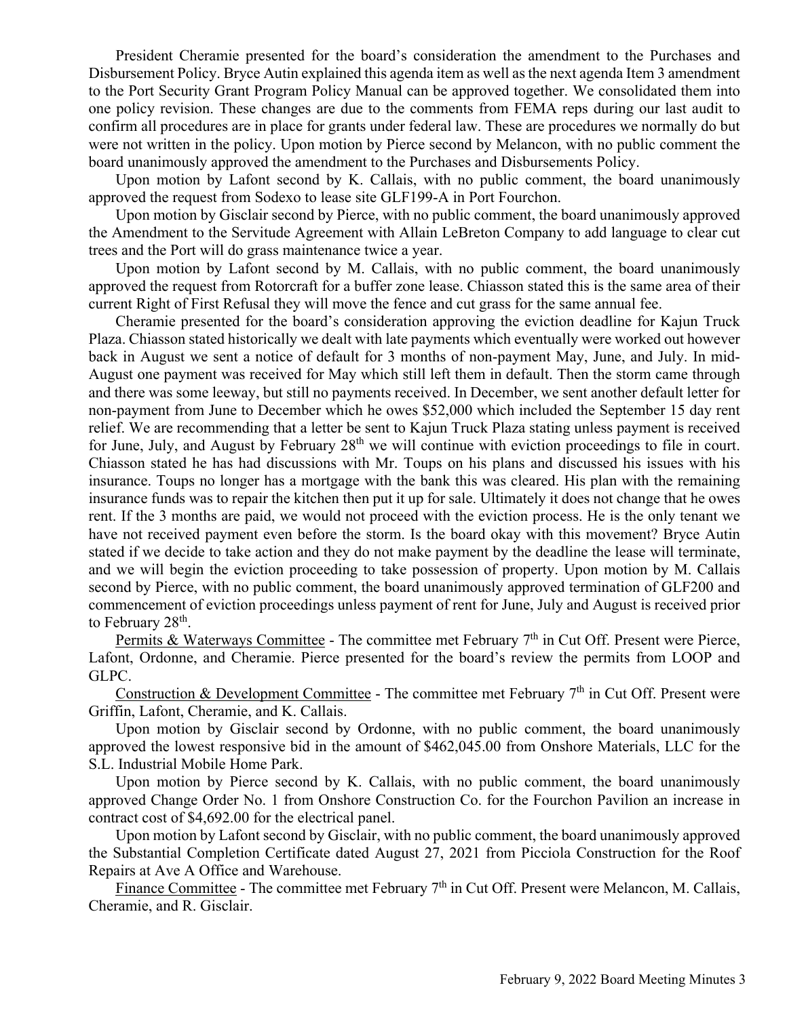President Cheramie presented for the board's consideration the amendment to the Purchases and Disbursement Policy. Bryce Autin explained this agenda item as well as the next agenda Item 3 amendment to the Port Security Grant Program Policy Manual can be approved together. We consolidated them into one policy revision. These changes are due to the comments from FEMA reps during our last audit to confirm all procedures are in place for grants under federal law. These are procedures we normally do but were not written in the policy. Upon motion by Pierce second by Melancon, with no public comment the board unanimously approved the amendment to the Purchases and Disbursements Policy.

 Upon motion by Lafont second by K. Callais, with no public comment, the board unanimously approved the request from Sodexo to lease site GLF199-A in Port Fourchon.

 Upon motion by Gisclair second by Pierce, with no public comment, the board unanimously approved the Amendment to the Servitude Agreement with Allain LeBreton Company to add language to clear cut trees and the Port will do grass maintenance twice a year.

 Upon motion by Lafont second by M. Callais, with no public comment, the board unanimously approved the request from Rotorcraft for a buffer zone lease. Chiasson stated this is the same area of their current Right of First Refusal they will move the fence and cut grass for the same annual fee.

 Cheramie presented for the board's consideration approving the eviction deadline for Kajun Truck Plaza. Chiasson stated historically we dealt with late payments which eventually were worked out however back in August we sent a notice of default for 3 months of non-payment May, June, and July. In mid-August one payment was received for May which still left them in default. Then the storm came through and there was some leeway, but still no payments received. In December, we sent another default letter for non-payment from June to December which he owes \$52,000 which included the September 15 day rent relief. We are recommending that a letter be sent to Kajun Truck Plaza stating unless payment is received for June, July, and August by February  $28<sup>th</sup>$  we will continue with eviction proceedings to file in court. Chiasson stated he has had discussions with Mr. Toups on his plans and discussed his issues with his insurance. Toups no longer has a mortgage with the bank this was cleared. His plan with the remaining insurance funds was to repair the kitchen then put it up for sale. Ultimately it does not change that he owes rent. If the 3 months are paid, we would not proceed with the eviction process. He is the only tenant we have not received payment even before the storm. Is the board okay with this movement? Bryce Autin stated if we decide to take action and they do not make payment by the deadline the lease will terminate, and we will begin the eviction proceeding to take possession of property. Upon motion by M. Callais second by Pierce, with no public comment, the board unanimously approved termination of GLF200 and commencement of eviction proceedings unless payment of rent for June, July and August is received prior to February 28<sup>th</sup>.

Permits & Waterways Committee - The committee met February 7<sup>th</sup> in Cut Off. Present were Pierce, Lafont, Ordonne, and Cheramie. Pierce presented for the board's review the permits from LOOP and GLPC.

Construction & Development Committee - The committee met February 7<sup>th</sup> in Cut Off. Present were Griffin, Lafont, Cheramie, and K. Callais.

 Upon motion by Gisclair second by Ordonne, with no public comment, the board unanimously approved the lowest responsive bid in the amount of \$462,045.00 from Onshore Materials, LLC for the S.L. Industrial Mobile Home Park.

 Upon motion by Pierce second by K. Callais, with no public comment, the board unanimously approved Change Order No. 1 from Onshore Construction Co. for the Fourchon Pavilion an increase in contract cost of \$4,692.00 for the electrical panel.

 Upon motion by Lafont second by Gisclair, with no public comment, the board unanimously approved the Substantial Completion Certificate dated August 27, 2021 from Picciola Construction for the Roof Repairs at Ave A Office and Warehouse.

Finance Committee - The committee met February 7<sup>th</sup> in Cut Off. Present were Melancon, M. Callais, Cheramie, and R. Gisclair.